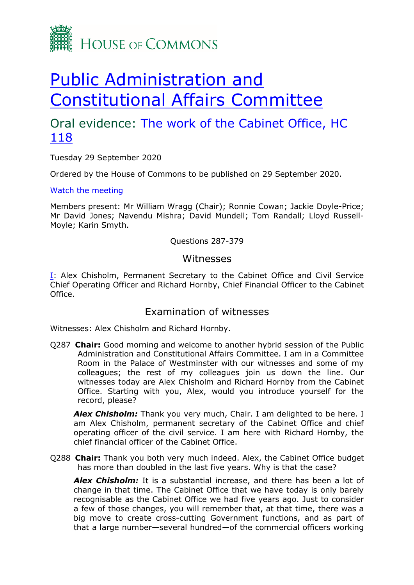

# [Public Administration and](https://committees.parliament.uk/committee/327/public-administration-and-constitutional-affairs-committee/)  [Constitutional Affairs Committee](https://committees.parliament.uk/committee/327/public-administration-and-constitutional-affairs-committee/)

# Oral evidence: The work of the Cabinet Office, HC [118](https://committees.parliament.uk/work/40/the-work-of-the-cabinet-office/)

Tuesday 29 September 2020

Ordered by the House of Commons to be published on 29 September 2020.

## [Watch the meeting](https://www.parliamentlive.tv/Event/Index/9f751844-c0d9-46bb-8b84-8fa859532a4d)

Members present: Mr William Wragg (Chair); Ronnie Cowan; Jackie Doyle-Price; Mr David Jones; Navendu Mishra; David Mundell; Tom Randall; Lloyd Russell-Moyle; Karin Smyth.

# Questions 287-379

# Witnesses

[I:](#page-0-0) Alex Chisholm, Permanent Secretary to the Cabinet Office and Civil Service Chief Operating Officer and Richard Hornby, Chief Financial Officer to the Cabinet Office.

# Examination of witnesses

<span id="page-0-0"></span>Witnesses: Alex Chisholm and Richard Hornby.

Q287 **Chair:** Good morning and welcome to another hybrid session of the Public Administration and Constitutional Affairs Committee. I am in a Committee Room in the Palace of Westminster with our witnesses and some of my colleagues; the rest of my colleagues join us down the line. Our witnesses today are Alex Chisholm and Richard Hornby from the Cabinet Office. Starting with you, Alex, would you introduce yourself for the record, please?

Alex Chisholm: Thank you very much, Chair. I am delighted to be here. I am Alex Chisholm, permanent secretary of the Cabinet Office and chief operating officer of the civil service. I am here with Richard Hornby, the chief financial officer of the Cabinet Office.

Q288 **Chair:** Thank you both very much indeed. Alex, the Cabinet Office budget has more than doubled in the last five years. Why is that the case?

*Alex Chisholm:* It is a substantial increase, and there has been a lot of change in that time. The Cabinet Office that we have today is only barely recognisable as the Cabinet Office we had five years ago. Just to consider a few of those changes, you will remember that, at that time, there was a big move to create cross-cutting Government functions, and as part of that a large number—several hundred—of the commercial officers working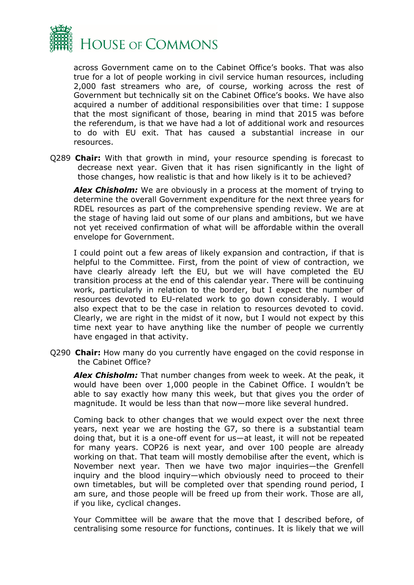

across Government came on to the Cabinet Office's books. That was also true for a lot of people working in civil service human resources, including 2,000 fast streamers who are, of course, working across the rest of Government but technically sit on the Cabinet Office's books. We have also acquired a number of additional responsibilities over that time: I suppose that the most significant of those, bearing in mind that 2015 was before the referendum, is that we have had a lot of additional work and resources to do with EU exit. That has caused a substantial increase in our resources.

Q289 **Chair:** With that growth in mind, your resource spending is forecast to decrease next year. Given that it has risen significantly in the light of those changes, how realistic is that and how likely is it to be achieved?

*Alex Chisholm:* We are obviously in a process at the moment of trying to determine the overall Government expenditure for the next three years for RDEL resources as part of the comprehensive spending review. We are at the stage of having laid out some of our plans and ambitions, but we have not yet received confirmation of what will be affordable within the overall envelope for Government.

I could point out a few areas of likely expansion and contraction, if that is helpful to the Committee. First, from the point of view of contraction, we have clearly already left the EU, but we will have completed the EU transition process at the end of this calendar year. There will be continuing work, particularly in relation to the border, but I expect the number of resources devoted to EU-related work to go down considerably. I would also expect that to be the case in relation to resources devoted to covid. Clearly, we are right in the midst of it now, but I would not expect by this time next year to have anything like the number of people we currently have engaged in that activity.

Q290 **Chair:** How many do you currently have engaged on the covid response in the Cabinet Office?

*Alex Chisholm:* That number changes from week to week. At the peak, it would have been over 1,000 people in the Cabinet Office. I wouldn't be able to say exactly how many this week, but that gives you the order of magnitude. It would be less than that now—more like several hundred.

Coming back to other changes that we would expect over the next three years, next year we are hosting the G7, so there is a substantial team doing that, but it is a one-off event for us—at least, it will not be repeated for many years. COP26 is next year, and over 100 people are already working on that. That team will mostly demobilise after the event, which is November next year. Then we have two major inquiries—the Grenfell inquiry and the blood inquiry—which obviously need to proceed to their own timetables, but will be completed over that spending round period, I am sure, and those people will be freed up from their work. Those are all, if you like, cyclical changes.

Your Committee will be aware that the move that I described before, of centralising some resource for functions, continues. It is likely that we will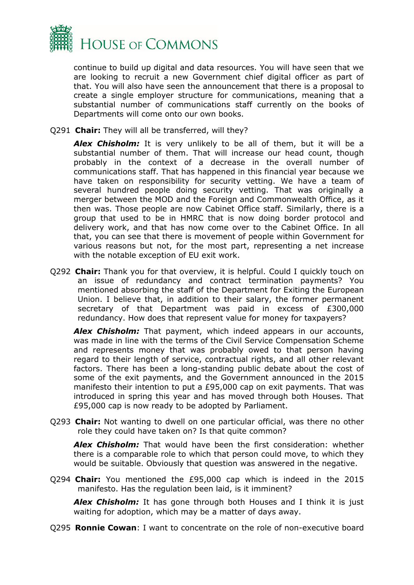

continue to build up digital and data resources. You will have seen that we are looking to recruit a new Government chief digital officer as part of that. You will also have seen the announcement that there is a proposal to create a single employer structure for communications, meaning that a substantial number of communications staff currently on the books of Departments will come onto our own books.

Q291 **Chair:** They will all be transferred, will they?

*Alex Chisholm:* It is very unlikely to be all of them, but it will be a substantial number of them. That will increase our head count, though probably in the context of a decrease in the overall number of communications staff. That has happened in this financial year because we have taken on responsibility for security vetting. We have a team of several hundred people doing security vetting. That was originally a merger between the MOD and the Foreign and Commonwealth Office, as it then was. Those people are now Cabinet Office staff. Similarly, there is a group that used to be in HMRC that is now doing border protocol and delivery work, and that has now come over to the Cabinet Office. In all that, you can see that there is movement of people within Government for various reasons but not, for the most part, representing a net increase with the notable exception of EU exit work.

Q292 **Chair:** Thank you for that overview, it is helpful. Could I quickly touch on an issue of redundancy and contract termination payments? You mentioned absorbing the staff of the Department for Exiting the European Union. I believe that, in addition to their salary, the former permanent secretary of that Department was paid in excess of £300,000 redundancy. How does that represent value for money for taxpayers?

*Alex Chisholm:* That payment, which indeed appears in our accounts, was made in line with the terms of the Civil Service Compensation Scheme and represents money that was probably owed to that person having regard to their length of service, contractual rights, and all other relevant factors. There has been a long-standing public debate about the cost of some of the exit payments, and the Government announced in the 2015 manifesto their intention to put a £95,000 cap on exit payments. That was introduced in spring this year and has moved through both Houses. That £95,000 cap is now ready to be adopted by Parliament.

Q293 **Chair:** Not wanting to dwell on one particular official, was there no other role they could have taken on? Is that quite common?

*Alex Chisholm:* That would have been the first consideration: whether there is a comparable role to which that person could move, to which they would be suitable. Obviously that question was answered in the negative.

Q294 **Chair:** You mentioned the £95,000 cap which is indeed in the 2015 manifesto. Has the regulation been laid, is it imminent?

**Alex Chisholm:** It has gone through both Houses and I think it is just waiting for adoption, which may be a matter of days away.

Q295 **Ronnie Cowan**: I want to concentrate on the role of non-executive board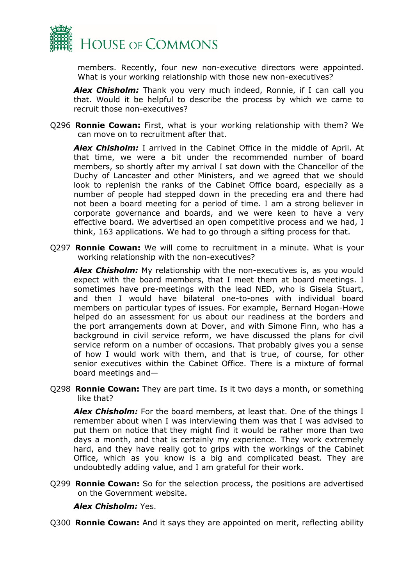

members. Recently, four new non-executive directors were appointed. What is your working relationship with those new non-executives?

*Alex Chisholm:* Thank you very much indeed, Ronnie, if I can call you that. Would it be helpful to describe the process by which we came to recruit those non-executives?

Q296 **Ronnie Cowan:** First, what is your working relationship with them? We can move on to recruitment after that.

*Alex Chisholm:* I arrived in the Cabinet Office in the middle of April. At that time, we were a bit under the recommended number of board members, so shortly after my arrival I sat down with the Chancellor of the Duchy of Lancaster and other Ministers, and we agreed that we should look to replenish the ranks of the Cabinet Office board, especially as a number of people had stepped down in the preceding era and there had not been a board meeting for a period of time. I am a strong believer in corporate governance and boards, and we were keen to have a very effective board. We advertised an open competitive process and we had, I think, 163 applications. We had to go through a sifting process for that.

Q297 **Ronnie Cowan:** We will come to recruitment in a minute. What is your working relationship with the non-executives?

**Alex Chisholm:** My relationship with the non-executives is, as you would expect with the board members, that I meet them at board meetings. I sometimes have pre-meetings with the lead NED, who is Gisela Stuart, and then I would have bilateral one-to-ones with individual board members on particular types of issues. For example, Bernard Hogan-Howe helped do an assessment for us about our readiness at the borders and the port arrangements down at Dover, and with Simone Finn, who has a background in civil service reform, we have discussed the plans for civil service reform on a number of occasions. That probably gives you a sense of how I would work with them, and that is true, of course, for other senior executives within the Cabinet Office. There is a mixture of formal board meetings and—

Q298 **Ronnie Cowan:** They are part time. Is it two days a month, or something like that?

*Alex Chisholm:* For the board members, at least that. One of the things I remember about when I was interviewing them was that I was advised to put them on notice that they might find it would be rather more than two days a month, and that is certainly my experience. They work extremely hard, and they have really got to grips with the workings of the Cabinet Office, which as you know is a big and complicated beast. They are undoubtedly adding value, and I am grateful for their work.

Q299 **Ronnie Cowan:** So for the selection process, the positions are advertised on the Government website.

### *Alex Chisholm:* Yes.

Q300 **Ronnie Cowan:** And it says they are appointed on merit, reflecting ability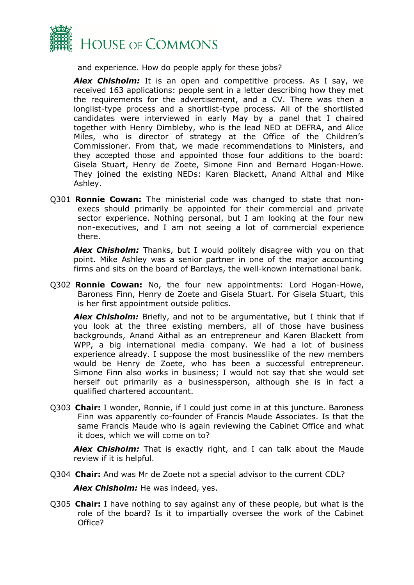

and experience. How do people apply for these jobs?

*Alex Chisholm:* It is an open and competitive process. As I say, we received 163 applications: people sent in a letter describing how they met the requirements for the advertisement, and a CV. There was then a longlist-type process and a shortlist-type process. All of the shortlisted candidates were interviewed in early May by a panel that I chaired together with Henry Dimbleby, who is the lead NED at DEFRA, and Alice Miles, who is director of strategy at the Office of the Children's Commissioner. From that, we made recommendations to Ministers, and they accepted those and appointed those four additions to the board: Gisela Stuart, Henry de Zoete, Simone Finn and Bernard Hogan-Howe. They joined the existing NEDs: Karen Blackett, Anand Aithal and Mike Ashley.

Q301 **Ronnie Cowan:** The ministerial code was changed to state that nonexecs should primarily be appointed for their commercial and private sector experience. Nothing personal, but I am looking at the four new non-executives, and I am not seeing a lot of commercial experience there.

*Alex Chisholm:* Thanks, but I would politely disagree with you on that point. Mike Ashley was a senior partner in one of the major accounting firms and sits on the board of Barclays, the well-known international bank.

Q302 **Ronnie Cowan:** No, the four new appointments: Lord Hogan-Howe, Baroness Finn, Henry de Zoete and Gisela Stuart. For Gisela Stuart, this is her first appointment outside politics.

*Alex Chisholm:* Briefly, and not to be argumentative, but I think that if you look at the three existing members, all of those have business backgrounds, Anand Aithal as an entrepreneur and Karen Blackett from WPP, a big international media company. We had a lot of business experience already. I suppose the most businesslike of the new members would be Henry de Zoete, who has been a successful entrepreneur. Simone Finn also works in business; I would not say that she would set herself out primarily as a businessperson, although she is in fact a qualified chartered accountant.

Q303 **Chair:** I wonder, Ronnie, if I could just come in at this juncture. Baroness Finn was apparently co-founder of Francis Maude Associates. Is that the same Francis Maude who is again reviewing the Cabinet Office and what it does, which we will come on to?

*Alex Chisholm:* That is exactly right, and I can talk about the Maude review if it is helpful.

Q304 **Chair:** And was Mr de Zoete not a special advisor to the current CDL?

*Alex Chisholm:* He was indeed, yes.

Q305 **Chair:** I have nothing to say against any of these people, but what is the role of the board? Is it to impartially oversee the work of the Cabinet Office?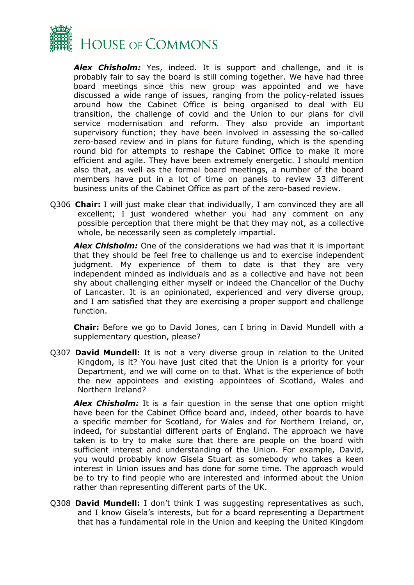

*Alex Chisholm:* Yes, indeed. It is support and challenge, and it is probably fair to say the board is still coming together. We have had three board meetings since this new group was appointed and we have discussed a wide range of issues, ranging from the policy-related issues around how the Cabinet Office is being organised to deal with EU transition, the challenge of covid and the Union to our plans for civil service modernisation and reform. They also provide an important supervisory function; they have been involved in assessing the so-called zero-based review and in plans for future funding, which is the spending round bid for attempts to reshape the Cabinet Office to make it more efficient and agile. They have been extremely energetic. I should mention also that, as well as the formal board meetings, a number of the board members have put in a lot of time on panels to review 33 different business units of the Cabinet Office as part of the zero-based review.

Q306 **Chair:** I will just make clear that individually, I am convinced they are all excellent; I just wondered whether you had any comment on any possible perception that there might be that they may not, as a collective whole, be necessarily seen as completely impartial.

*Alex Chisholm:* One of the considerations we had was that it is important that they should be feel free to challenge us and to exercise independent judgment. My experience of them to date is that they are very independent minded as individuals and as a collective and have not been shy about challenging either myself or indeed the Chancellor of the Duchy of Lancaster. It is an opinionated, experienced and very diverse group, and I am satisfied that they are exercising a proper support and challenge function.

**Chair:** Before we go to David Jones, can I bring in David Mundell with a supplementary question, please?

Q307 **David Mundell:** It is not a very diverse group in relation to the United Kingdom, is it? You have just cited that the Union is a priority for your Department, and we will come on to that. What is the experience of both the new appointees and existing appointees of Scotland, Wales and Northern Ireland?

*Alex Chisholm:* It is a fair question in the sense that one option might have been for the Cabinet Office board and, indeed, other boards to have a specific member for Scotland, for Wales and for Northern Ireland, or, indeed, for substantial different parts of England. The approach we have taken is to try to make sure that there are people on the board with sufficient interest and understanding of the Union. For example, David, you would probably know Gisela Stuart as somebody who takes a keen interest in Union issues and has done for some time. The approach would be to try to find people who are interested and informed about the Union rather than representing different parts of the UK.

Q308 **David Mundell:** I don't think I was suggesting representatives as such, and I know Gisela's interests, but for a board representing a Department that has a fundamental role in the Union and keeping the United Kingdom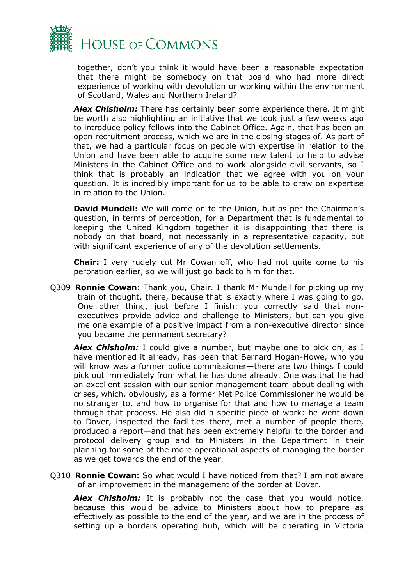

together, don't you think it would have been a reasonable expectation that there might be somebody on that board who had more direct experience of working with devolution or working within the environment of Scotland, Wales and Northern Ireland?

*Alex Chisholm:* There has certainly been some experience there. It might be worth also highlighting an initiative that we took just a few weeks ago to introduce policy fellows into the Cabinet Office. Again, that has been an open recruitment process, which we are in the closing stages of. As part of that, we had a particular focus on people with expertise in relation to the Union and have been able to acquire some new talent to help to advise Ministers in the Cabinet Office and to work alongside civil servants, so I think that is probably an indication that we agree with you on your question. It is incredibly important for us to be able to draw on expertise in relation to the Union.

**David Mundell:** We will come on to the Union, but as per the Chairman's question, in terms of perception, for a Department that is fundamental to keeping the United Kingdom together it is disappointing that there is nobody on that board, not necessarily in a representative capacity, but with significant experience of any of the devolution settlements.

**Chair:** I very rudely cut Mr Cowan off, who had not quite come to his peroration earlier, so we will just go back to him for that.

Q309 **Ronnie Cowan:** Thank you, Chair. I thank Mr Mundell for picking up my train of thought, there, because that is exactly where I was going to go. One other thing, just before I finish: you correctly said that nonexecutives provide advice and challenge to Ministers, but can you give me one example of a positive impact from a non-executive director since you became the permanent secretary?

Alex Chisholm: I could give a number, but maybe one to pick on, as I have mentioned it already, has been that Bernard Hogan-Howe, who you will know was a former police commissioner—there are two things I could pick out immediately from what he has done already. One was that he had an excellent session with our senior management team about dealing with crises, which, obviously, as a former Met Police Commissioner he would be no stranger to, and how to organise for that and how to manage a team through that process. He also did a specific piece of work: he went down to Dover, inspected the facilities there, met a number of people there, produced a report—and that has been extremely helpful to the border and protocol delivery group and to Ministers in the Department in their planning for some of the more operational aspects of managing the border as we get towards the end of the year.

Q310 **Ronnie Cowan:** So what would I have noticed from that? I am not aware of an improvement in the management of the border at Dover.

**Alex Chisholm:** It is probably not the case that you would notice, because this would be advice to Ministers about how to prepare as effectively as possible to the end of the year, and we are in the process of setting up a borders operating hub, which will be operating in Victoria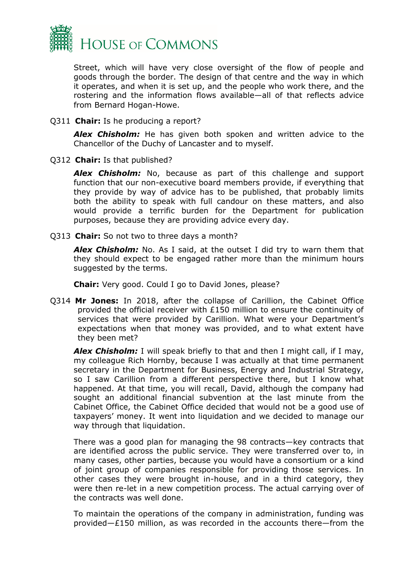

Street, which will have very close oversight of the flow of people and goods through the border. The design of that centre and the way in which it operates, and when it is set up, and the people who work there, and the rostering and the information flows available—all of that reflects advice from Bernard Hogan-Howe.

Q311 **Chair:** Is he producing a report?

*Alex Chisholm:* He has given both spoken and written advice to the Chancellor of the Duchy of Lancaster and to myself.

Q312 **Chair:** Is that published?

*Alex Chisholm:* No, because as part of this challenge and support function that our non-executive board members provide, if everything that they provide by way of advice has to be published, that probably limits both the ability to speak with full candour on these matters, and also would provide a terrific burden for the Department for publication purposes, because they are providing advice every day.

Q313 **Chair:** So not two to three days a month?

*Alex Chisholm:* No. As I said, at the outset I did try to warn them that they should expect to be engaged rather more than the minimum hours suggested by the terms.

**Chair:** Very good. Could I go to David Jones, please?

Q314 **Mr Jones:** In 2018, after the collapse of Carillion, the Cabinet Office provided the official receiver with £150 million to ensure the continuity of services that were provided by Carillion. What were your Department's expectations when that money was provided, and to what extent have they been met?

*Alex Chisholm:* I will speak briefly to that and then I might call, if I may, my colleague Rich Hornby, because I was actually at that time permanent secretary in the Department for Business, Energy and Industrial Strategy, so I saw Carillion from a different perspective there, but I know what happened. At that time, you will recall, David, although the company had sought an additional financial subvention at the last minute from the Cabinet Office, the Cabinet Office decided that would not be a good use of taxpayers' money. It went into liquidation and we decided to manage our way through that liquidation.

There was a good plan for managing the 98 contracts—key contracts that are identified across the public service. They were transferred over to, in many cases, other parties, because you would have a consortium or a kind of joint group of companies responsible for providing those services. In other cases they were brought in-house, and in a third category, they were then re-let in a new competition process. The actual carrying over of the contracts was well done.

To maintain the operations of the company in administration, funding was provided—£150 million, as was recorded in the accounts there—from the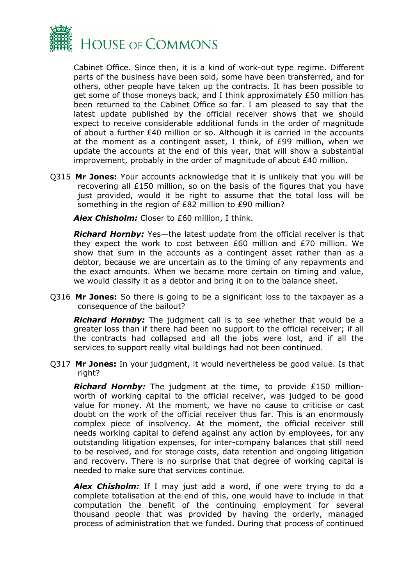

Cabinet Office. Since then, it is a kind of work-out type regime. Different parts of the business have been sold, some have been transferred, and for others, other people have taken up the contracts. It has been possible to get some of those moneys back, and I think approximately £50 million has been returned to the Cabinet Office so far. I am pleased to say that the latest update published by the official receiver shows that we should expect to receive considerable additional funds in the order of magnitude of about a further £40 million or so. Although it is carried in the accounts at the moment as a contingent asset, I think, of £99 million, when we update the accounts at the end of this year, that will show a substantial improvement, probably in the order of magnitude of about £40 million.

Q315 **Mr Jones:** Your accounts acknowledge that it is unlikely that you will be recovering all £150 million, so on the basis of the figures that you have just provided, would it be right to assume that the total loss will be something in the region of £82 million to £90 million?

*Alex Chisholm:* Closer to £60 million, I think.

*Richard Hornby:* Yes—the latest update from the official receiver is that they expect the work to cost between £60 million and £70 million. We show that sum in the accounts as a contingent asset rather than as a debtor, because we are uncertain as to the timing of any repayments and the exact amounts. When we became more certain on timing and value, we would classify it as a debtor and bring it on to the balance sheet.

Q316 **Mr Jones:** So there is going to be a significant loss to the taxpayer as a consequence of the bailout?

*Richard Hornby:* The judgment call is to see whether that would be a greater loss than if there had been no support to the official receiver; if all the contracts had collapsed and all the jobs were lost, and if all the services to support really vital buildings had not been continued.

Q317 **Mr Jones:** In your judgment, it would nevertheless be good value. Is that right?

*Richard Hornby:* The judgment at the time, to provide £150 millionworth of working capital to the official receiver, was judged to be good value for money. At the moment, we have no cause to criticise or cast doubt on the work of the official receiver thus far. This is an enormously complex piece of insolvency. At the moment, the official receiver still needs working capital to defend against any action by employees, for any outstanding litigation expenses, for inter-company balances that still need to be resolved, and for storage costs, data retention and ongoing litigation and recovery. There is no surprise that that degree of working capital is needed to make sure that services continue.

**Alex Chisholm:** If I may just add a word, if one were trying to do a complete totalisation at the end of this, one would have to include in that computation the benefit of the continuing employment for several thousand people that was provided by having the orderly, managed process of administration that we funded. During that process of continued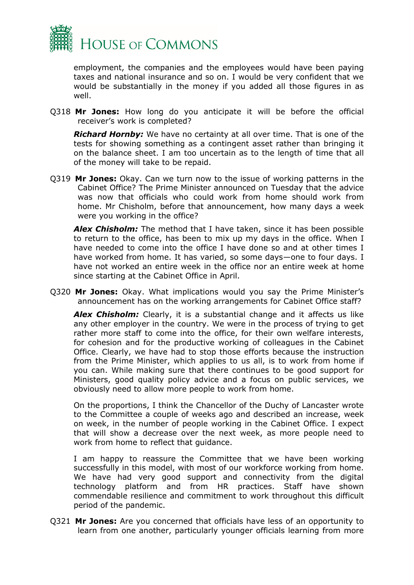

employment, the companies and the employees would have been paying taxes and national insurance and so on. I would be very confident that we would be substantially in the money if you added all those figures in as well.

Q318 **Mr Jones:** How long do you anticipate it will be before the official receiver's work is completed?

*Richard Hornby:* We have no certainty at all over time. That is one of the tests for showing something as a contingent asset rather than bringing it on the balance sheet. I am too uncertain as to the length of time that all of the money will take to be repaid.

Q319 **Mr Jones:** Okay. Can we turn now to the issue of working patterns in the Cabinet Office? The Prime Minister announced on Tuesday that the advice was now that officials who could work from home should work from home. Mr Chisholm, before that announcement, how many days a week were you working in the office?

*Alex Chisholm:* The method that I have taken, since it has been possible to return to the office, has been to mix up my days in the office. When I have needed to come into the office I have done so and at other times I have worked from home. It has varied, so some days—one to four days. I have not worked an entire week in the office nor an entire week at home since starting at the Cabinet Office in April.

Q320 **Mr Jones:** Okay. What implications would you say the Prime Minister's announcement has on the working arrangements for Cabinet Office staff?

*Alex Chisholm:* Clearly, it is a substantial change and it affects us like any other employer in the country. We were in the process of trying to get rather more staff to come into the office, for their own welfare interests, for cohesion and for the productive working of colleagues in the Cabinet Office. Clearly, we have had to stop those efforts because the instruction from the Prime Minister, which applies to us all, is to work from home if you can. While making sure that there continues to be good support for Ministers, good quality policy advice and a focus on public services, we obviously need to allow more people to work from home.

On the proportions, I think the Chancellor of the Duchy of Lancaster wrote to the Committee a couple of weeks ago and described an increase, week on week, in the number of people working in the Cabinet Office. I expect that will show a decrease over the next week, as more people need to work from home to reflect that guidance.

I am happy to reassure the Committee that we have been working successfully in this model, with most of our workforce working from home. We have had very good support and connectivity from the digital technology platform and from HR practices. Staff have shown commendable resilience and commitment to work throughout this difficult period of the pandemic.

Q321 **Mr Jones:** Are you concerned that officials have less of an opportunity to learn from one another, particularly younger officials learning from more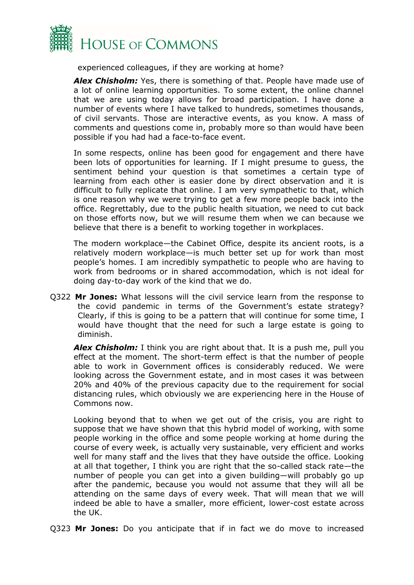

experienced colleagues, if they are working at home?

*Alex Chisholm:* Yes, there is something of that. People have made use of a lot of online learning opportunities. To some extent, the online channel that we are using today allows for broad participation. I have done a number of events where I have talked to hundreds, sometimes thousands, of civil servants. Those are interactive events, as you know. A mass of comments and questions come in, probably more so than would have been possible if you had had a face-to-face event.

In some respects, online has been good for engagement and there have been lots of opportunities for learning. If I might presume to guess, the sentiment behind your question is that sometimes a certain type of learning from each other is easier done by direct observation and it is difficult to fully replicate that online. I am very sympathetic to that, which is one reason why we were trying to get a few more people back into the office. Regrettably, due to the public health situation, we need to cut back on those efforts now, but we will resume them when we can because we believe that there is a benefit to working together in workplaces.

The modern workplace—the Cabinet Office, despite its ancient roots, is a relatively modern workplace—is much better set up for work than most people's homes. I am incredibly sympathetic to people who are having to work from bedrooms or in shared accommodation, which is not ideal for doing day-to-day work of the kind that we do.

Q322 **Mr Jones:** What lessons will the civil service learn from the response to the covid pandemic in terms of the Government's estate strategy? Clearly, if this is going to be a pattern that will continue for some time, I would have thought that the need for such a large estate is going to diminish.

Alex Chisholm: I think you are right about that. It is a push me, pull you effect at the moment. The short-term effect is that the number of people able to work in Government offices is considerably reduced. We were looking across the Government estate, and in most cases it was between 20% and 40% of the previous capacity due to the requirement for social distancing rules, which obviously we are experiencing here in the House of Commons now.

Looking beyond that to when we get out of the crisis, you are right to suppose that we have shown that this hybrid model of working, with some people working in the office and some people working at home during the course of every week, is actually very sustainable, very efficient and works well for many staff and the lives that they have outside the office. Looking at all that together, I think you are right that the so-called stack rate—the number of people you can get into a given building—will probably go up after the pandemic, because you would not assume that they will all be attending on the same days of every week. That will mean that we will indeed be able to have a smaller, more efficient, lower-cost estate across the UK.

Q323 **Mr Jones:** Do you anticipate that if in fact we do move to increased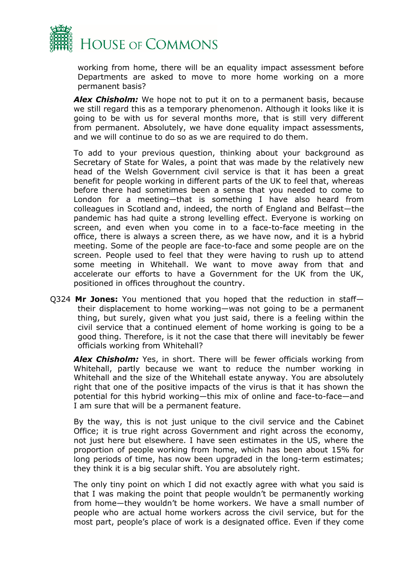

working from home, there will be an equality impact assessment before Departments are asked to move to more home working on a more permanent basis?

*Alex Chisholm:* We hope not to put it on to a permanent basis, because we still regard this as a temporary phenomenon. Although it looks like it is going to be with us for several months more, that is still very different from permanent. Absolutely, we have done equality impact assessments, and we will continue to do so as we are required to do them.

To add to your previous question, thinking about your background as Secretary of State for Wales, a point that was made by the relatively new head of the Welsh Government civil service is that it has been a great benefit for people working in different parts of the UK to feel that, whereas before there had sometimes been a sense that you needed to come to London for a meeting—that is something I have also heard from colleagues in Scotland and, indeed, the north of England and Belfast—the pandemic has had quite a strong levelling effect. Everyone is working on screen, and even when you come in to a face-to-face meeting in the office, there is always a screen there, as we have now, and it is a hybrid meeting. Some of the people are face-to-face and some people are on the screen. People used to feel that they were having to rush up to attend some meeting in Whitehall. We want to move away from that and accelerate our efforts to have a Government for the UK from the UK, positioned in offices throughout the country.

Q324 **Mr Jones:** You mentioned that you hoped that the reduction in staff their displacement to home working—was not going to be a permanent thing, but surely, given what you just said, there is a feeling within the civil service that a continued element of home working is going to be a good thing. Therefore, is it not the case that there will inevitably be fewer officials working from Whitehall?

*Alex Chisholm:* Yes, in short. There will be fewer officials working from Whitehall, partly because we want to reduce the number working in Whitehall and the size of the Whitehall estate anyway. You are absolutely right that one of the positive impacts of the virus is that it has shown the potential for this hybrid working—this mix of online and face-to-face—and I am sure that will be a permanent feature.

By the way, this is not just unique to the civil service and the Cabinet Office; it is true right across Government and right across the economy, not just here but elsewhere. I have seen estimates in the US, where the proportion of people working from home, which has been about 15% for long periods of time, has now been upgraded in the long-term estimates; they think it is a big secular shift. You are absolutely right.

The only tiny point on which I did not exactly agree with what you said is that I was making the point that people wouldn't be permanently working from home—they wouldn't be home workers. We have a small number of people who are actual home workers across the civil service, but for the most part, people's place of work is a designated office. Even if they come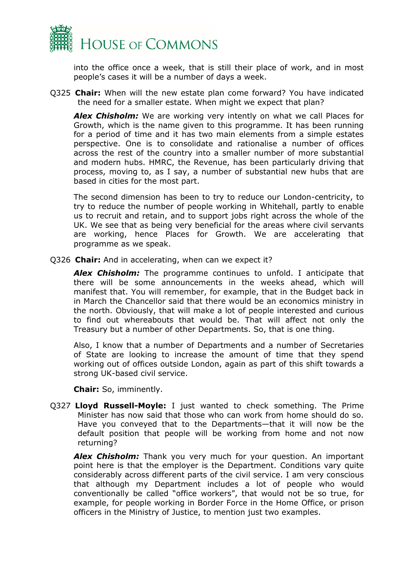

into the office once a week, that is still their place of work, and in most people's cases it will be a number of days a week.

Q325 **Chair:** When will the new estate plan come forward? You have indicated the need for a smaller estate. When might we expect that plan?

*Alex Chisholm:* We are working very intently on what we call Places for Growth, which is the name given to this programme. It has been running for a period of time and it has two main elements from a simple estates perspective. One is to consolidate and rationalise a number of offices across the rest of the country into a smaller number of more substantial and modern hubs. HMRC, the Revenue, has been particularly driving that process, moving to, as I say, a number of substantial new hubs that are based in cities for the most part.

The second dimension has been to try to reduce our London-centricity, to try to reduce the number of people working in Whitehall, partly to enable us to recruit and retain, and to support jobs right across the whole of the UK. We see that as being very beneficial for the areas where civil servants are working, hence Places for Growth. We are accelerating that programme as we speak.

Q326 **Chair:** And in accelerating, when can we expect it?

*Alex Chisholm:* The programme continues to unfold. I anticipate that there will be some announcements in the weeks ahead, which will manifest that. You will remember, for example, that in the Budget back in in March the Chancellor said that there would be an economics ministry in the north. Obviously, that will make a lot of people interested and curious to find out whereabouts that would be. That will affect not only the Treasury but a number of other Departments. So, that is one thing.

Also, I know that a number of Departments and a number of Secretaries of State are looking to increase the amount of time that they spend working out of offices outside London, again as part of this shift towards a strong UK-based civil service.

**Chair:** So, imminently.

Q327 **Lloyd Russell-Moyle:** I just wanted to check something. The Prime Minister has now said that those who can work from home should do so. Have you conveyed that to the Departments—that it will now be the default position that people will be working from home and not now returning?

*Alex Chisholm:* Thank you very much for your question. An important point here is that the employer is the Department. Conditions vary quite considerably across different parts of the civil service. I am very conscious that although my Department includes a lot of people who would conventionally be called "office workers", that would not be so true, for example, for people working in Border Force in the Home Office, or prison officers in the Ministry of Justice, to mention just two examples.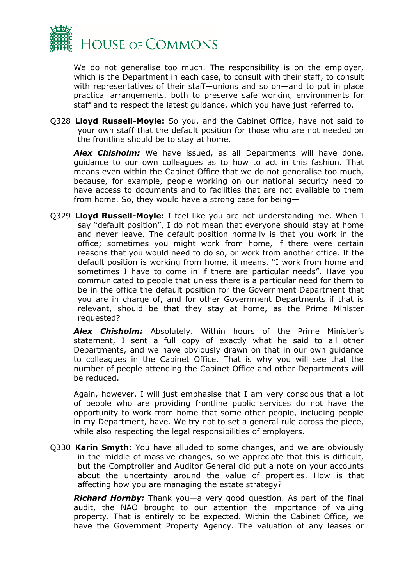

We do not generalise too much. The responsibility is on the employer, which is the Department in each case, to consult with their staff, to consult with representatives of their staff—unions and so on—and to put in place practical arrangements, both to preserve safe working environments for staff and to respect the latest guidance, which you have just referred to.

Q328 **Lloyd Russell-Moyle:** So you, and the Cabinet Office, have not said to your own staff that the default position for those who are not needed on the frontline should be to stay at home.

*Alex Chisholm:* We have issued, as all Departments will have done, guidance to our own colleagues as to how to act in this fashion. That means even within the Cabinet Office that we do not generalise too much, because, for example, people working on our national security need to have access to documents and to facilities that are not available to them from home. So, they would have a strong case for being—

Q329 **Lloyd Russell-Moyle:** I feel like you are not understanding me. When I say "default position", I do not mean that everyone should stay at home and never leave. The default position normally is that you work in the office; sometimes you might work from home, if there were certain reasons that you would need to do so, or work from another office. If the default position is working from home, it means, "I work from home and sometimes I have to come in if there are particular needs". Have you communicated to people that unless there is a particular need for them to be in the office the default position for the Government Department that you are in charge of, and for other Government Departments if that is relevant, should be that they stay at home, as the Prime Minister requested?

*Alex Chisholm:* Absolutely. Within hours of the Prime Minister's statement, I sent a full copy of exactly what he said to all other Departments, and we have obviously drawn on that in our own guidance to colleagues in the Cabinet Office. That is why you will see that the number of people attending the Cabinet Office and other Departments will be reduced.

Again, however, I will just emphasise that I am very conscious that a lot of people who are providing frontline public services do not have the opportunity to work from home that some other people, including people in my Department, have. We try not to set a general rule across the piece, while also respecting the legal responsibilities of employers.

Q330 **Karin Smyth:** You have alluded to some changes, and we are obviously in the middle of massive changes, so we appreciate that this is difficult, but the Comptroller and Auditor General did put a note on your accounts about the uncertainty around the value of properties. How is that affecting how you are managing the estate strategy?

*Richard Hornby:* Thank you—a very good question. As part of the final audit, the NAO brought to our attention the importance of valuing property. That is entirely to be expected. Within the Cabinet Office, we have the Government Property Agency. The valuation of any leases or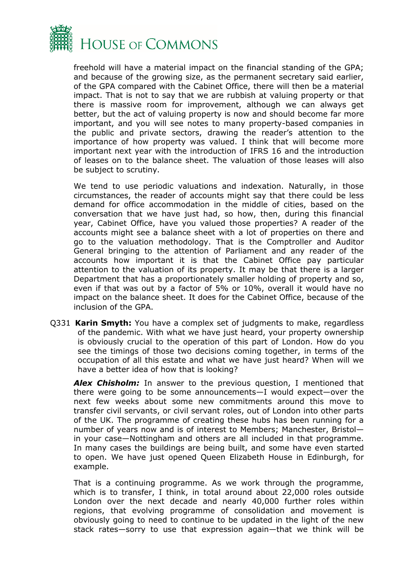

freehold will have a material impact on the financial standing of the GPA; and because of the growing size, as the permanent secretary said earlier, of the GPA compared with the Cabinet Office, there will then be a material impact. That is not to say that we are rubbish at valuing property or that there is massive room for improvement, although we can always get better, but the act of valuing property is now and should become far more important, and you will see notes to many property-based companies in the public and private sectors, drawing the reader's attention to the importance of how property was valued. I think that will become more important next year with the introduction of IFRS 16 and the introduction of leases on to the balance sheet. The valuation of those leases will also be subject to scrutiny.

We tend to use periodic valuations and indexation. Naturally, in those circumstances, the reader of accounts might say that there could be less demand for office accommodation in the middle of cities, based on the conversation that we have just had, so how, then, during this financial year, Cabinet Office, have you valued those properties? A reader of the accounts might see a balance sheet with a lot of properties on there and go to the valuation methodology. That is the Comptroller and Auditor General bringing to the attention of Parliament and any reader of the accounts how important it is that the Cabinet Office pay particular attention to the valuation of its property. It may be that there is a larger Department that has a proportionately smaller holding of property and so, even if that was out by a factor of 5% or 10%, overall it would have no impact on the balance sheet. It does for the Cabinet Office, because of the inclusion of the GPA.

Q331 **Karin Smyth:** You have a complex set of judgments to make, regardless of the pandemic. With what we have just heard, your property ownership is obviously crucial to the operation of this part of London. How do you see the timings of those two decisions coming together, in terms of the occupation of all this estate and what we have just heard? When will we have a better idea of how that is looking?

**Alex Chisholm:** In answer to the previous question, I mentioned that there were going to be some announcements—I would expect—over the next few weeks about some new commitments around this move to transfer civil servants, or civil servant roles, out of London into other parts of the UK. The programme of creating these hubs has been running for a number of years now and is of interest to Members; Manchester, Bristol in your case—Nottingham and others are all included in that programme. In many cases the buildings are being built, and some have even started to open. We have just opened Queen Elizabeth House in Edinburgh, for example.

That is a continuing programme. As we work through the programme, which is to transfer, I think, in total around about 22,000 roles outside London over the next decade and nearly 40,000 further roles within regions, that evolving programme of consolidation and movement is obviously going to need to continue to be updated in the light of the new stack rates—sorry to use that expression again—that we think will be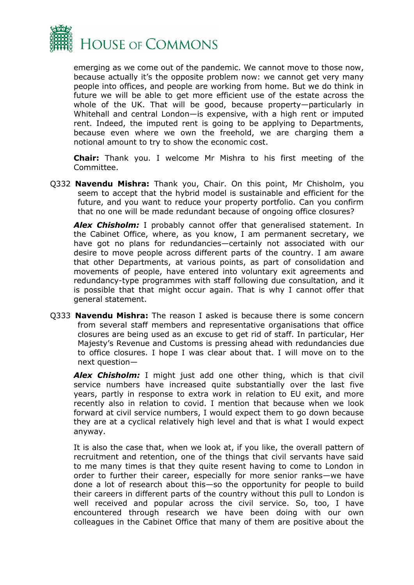

emerging as we come out of the pandemic. We cannot move to those now, because actually it's the opposite problem now: we cannot get very many people into offices, and people are working from home. But we do think in future we will be able to get more efficient use of the estate across the whole of the UK. That will be good, because property—particularly in Whitehall and central London—is expensive, with a high rent or imputed rent. Indeed, the imputed rent is going to be applying to Departments, because even where we own the freehold, we are charging them a notional amount to try to show the economic cost.

**Chair:** Thank you. I welcome Mr Mishra to his first meeting of the Committee.

Q332 **Navendu Mishra:** Thank you, Chair. On this point, Mr Chisholm, you seem to accept that the hybrid model is sustainable and efficient for the future, and you want to reduce your property portfolio. Can you confirm that no one will be made redundant because of ongoing office closures?

*Alex Chisholm:* I probably cannot offer that generalised statement. In the Cabinet Office, where, as you know, I am permanent secretary, we have got no plans for redundancies—certainly not associated with our desire to move people across different parts of the country. I am aware that other Departments, at various points, as part of consolidation and movements of people, have entered into voluntary exit agreements and redundancy-type programmes with staff following due consultation, and it is possible that that might occur again. That is why I cannot offer that general statement.

Q333 **Navendu Mishra:** The reason I asked is because there is some concern from several staff members and representative organisations that office closures are being used as an excuse to get rid of staff. In particular, Her Majesty's Revenue and Customs is pressing ahead with redundancies due to office closures. I hope I was clear about that. I will move on to the next question—

*Alex Chisholm:* I might just add one other thing, which is that civil service numbers have increased quite substantially over the last five years, partly in response to extra work in relation to EU exit, and more recently also in relation to covid. I mention that because when we look forward at civil service numbers, I would expect them to go down because they are at a cyclical relatively high level and that is what I would expect anyway.

It is also the case that, when we look at, if you like, the overall pattern of recruitment and retention, one of the things that civil servants have said to me many times is that they quite resent having to come to London in order to further their career, especially for more senior ranks—we have done a lot of research about this—so the opportunity for people to build their careers in different parts of the country without this pull to London is well received and popular across the civil service. So, too, I have encountered through research we have been doing with our own colleagues in the Cabinet Office that many of them are positive about the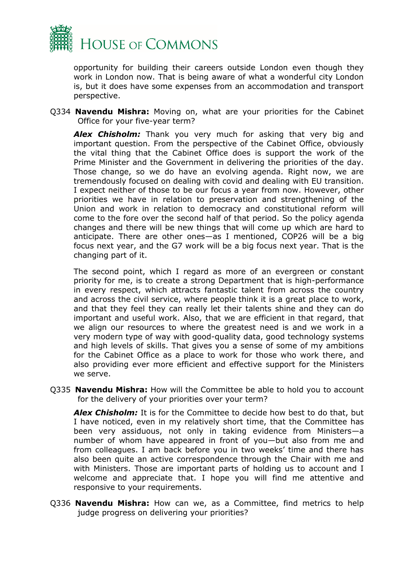

opportunity for building their careers outside London even though they work in London now. That is being aware of what a wonderful city London is, but it does have some expenses from an accommodation and transport perspective.

Q334 **Navendu Mishra:** Moving on, what are your priorities for the Cabinet Office for your five-year term?

*Alex Chisholm:* Thank you very much for asking that very big and important question. From the perspective of the Cabinet Office, obviously the vital thing that the Cabinet Office does is support the work of the Prime Minister and the Government in delivering the priorities of the day. Those change, so we do have an evolving agenda. Right now, we are tremendously focused on dealing with covid and dealing with EU transition. I expect neither of those to be our focus a year from now. However, other priorities we have in relation to preservation and strengthening of the Union and work in relation to democracy and constitutional reform will come to the fore over the second half of that period. So the policy agenda changes and there will be new things that will come up which are hard to anticipate. There are other ones—as I mentioned, COP26 will be a big focus next year, and the G7 work will be a big focus next year. That is the changing part of it.

The second point, which I regard as more of an evergreen or constant priority for me, is to create a strong Department that is high-performance in every respect, which attracts fantastic talent from across the country and across the civil service, where people think it is a great place to work, and that they feel they can really let their talents shine and they can do important and useful work. Also, that we are efficient in that regard, that we align our resources to where the greatest need is and we work in a very modern type of way with good-quality data, good technology systems and high levels of skills. That gives you a sense of some of my ambitions for the Cabinet Office as a place to work for those who work there, and also providing ever more efficient and effective support for the Ministers we serve.

Q335 **Navendu Mishra:** How will the Committee be able to hold you to account for the delivery of your priorities over your term?

*Alex Chisholm:* It is for the Committee to decide how best to do that, but I have noticed, even in my relatively short time, that the Committee has been very assiduous, not only in taking evidence from Ministers—a number of whom have appeared in front of you—but also from me and from colleagues. I am back before you in two weeks' time and there has also been quite an active correspondence through the Chair with me and with Ministers. Those are important parts of holding us to account and I welcome and appreciate that. I hope you will find me attentive and responsive to your requirements.

Q336 **Navendu Mishra:** How can we, as a Committee, find metrics to help judge progress on delivering your priorities?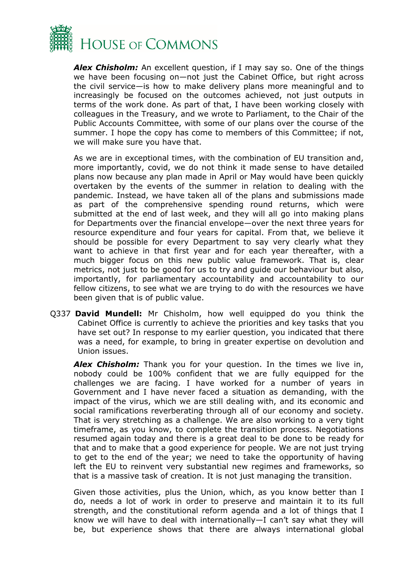

*Alex Chisholm:* An excellent question, if I may say so. One of the things we have been focusing on—not just the Cabinet Office, but right across the civil service—is how to make delivery plans more meaningful and to increasingly be focused on the outcomes achieved, not just outputs in terms of the work done. As part of that, I have been working closely with colleagues in the Treasury, and we wrote to Parliament, to the Chair of the Public Accounts Committee, with some of our plans over the course of the summer. I hope the copy has come to members of this Committee; if not, we will make sure you have that.

As we are in exceptional times, with the combination of EU transition and, more importantly, covid, we do not think it made sense to have detailed plans now because any plan made in April or May would have been quickly overtaken by the events of the summer in relation to dealing with the pandemic. Instead, we have taken all of the plans and submissions made as part of the comprehensive spending round returns, which were submitted at the end of last week, and they will all go into making plans for Departments over the financial envelope—over the next three years for resource expenditure and four years for capital. From that, we believe it should be possible for every Department to say very clearly what they want to achieve in that first year and for each year thereafter, with a much bigger focus on this new public value framework. That is, clear metrics, not just to be good for us to try and guide our behaviour but also, importantly, for parliamentary accountability and accountability to our fellow citizens, to see what we are trying to do with the resources we have been given that is of public value.

Q337 **David Mundell:** Mr Chisholm, how well equipped do you think the Cabinet Office is currently to achieve the priorities and key tasks that you have set out? In response to my earlier question, you indicated that there was a need, for example, to bring in greater expertise on devolution and Union issues.

*Alex Chisholm:* Thank you for your question. In the times we live in, nobody could be 100% confident that we are fully equipped for the challenges we are facing. I have worked for a number of years in Government and I have never faced a situation as demanding, with the impact of the virus, which we are still dealing with, and its economic and social ramifications reverberating through all of our economy and society. That is very stretching as a challenge. We are also working to a very tight timeframe, as you know, to complete the transition process. Negotiations resumed again today and there is a great deal to be done to be ready for that and to make that a good experience for people. We are not just trying to get to the end of the year; we need to take the opportunity of having left the EU to reinvent very substantial new regimes and frameworks, so that is a massive task of creation. It is not just managing the transition.

Given those activities, plus the Union, which, as you know better than I do, needs a lot of work in order to preserve and maintain it to its full strength, and the constitutional reform agenda and a lot of things that I know we will have to deal with internationally—I can't say what they will be, but experience shows that there are always international global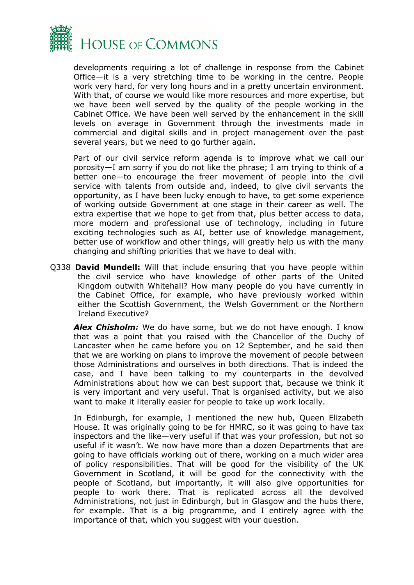

developments requiring a lot of challenge in response from the Cabinet Office—it is a very stretching time to be working in the centre. People work very hard, for very long hours and in a pretty uncertain environment. With that, of course we would like more resources and more expertise, but we have been well served by the quality of the people working in the Cabinet Office. We have been well served by the enhancement in the skill levels on average in Government through the investments made in commercial and digital skills and in project management over the past several years, but we need to go further again.

Part of our civil service reform agenda is to improve what we call our porosity—I am sorry if you do not like the phrase; I am trying to think of a better one—to encourage the freer movement of people into the civil service with talents from outside and, indeed, to give civil servants the opportunity, as I have been lucky enough to have, to get some experience of working outside Government at one stage in their career as well. The extra expertise that we hope to get from that, plus better access to data, more modern and professional use of technology, including in future exciting technologies such as AI, better use of knowledge management, better use of workflow and other things, will greatly help us with the many changing and shifting priorities that we have to deal with.

Q338 **David Mundell:** Will that include ensuring that you have people within the civil service who have knowledge of other parts of the United Kingdom outwith Whitehall? How many people do you have currently in the Cabinet Office, for example, who have previously worked within either the Scottish Government, the Welsh Government or the Northern Ireland Executive?

*Alex Chisholm:* We do have some, but we do not have enough. I know that was a point that you raised with the Chancellor of the Duchy of Lancaster when he came before you on 12 September, and he said then that we are working on plans to improve the movement of people between those Administrations and ourselves in both directions. That is indeed the case, and I have been talking to my counterparts in the devolved Administrations about how we can best support that, because we think it is very important and very useful. That is organised activity, but we also want to make it literally easier for people to take up work locally.

In Edinburgh, for example, I mentioned the new hub, Queen Elizabeth House. It was originally going to be for HMRC, so it was going to have tax inspectors and the like—very useful if that was your profession, but not so useful if it wasn't. We now have more than a dozen Departments that are going to have officials working out of there, working on a much wider area of policy responsibilities. That will be good for the visibility of the UK Government in Scotland, it will be good for the connectivity with the people of Scotland, but importantly, it will also give opportunities for people to work there. That is replicated across all the devolved Administrations, not just in Edinburgh, but in Glasgow and the hubs there, for example. That is a big programme, and I entirely agree with the importance of that, which you suggest with your question.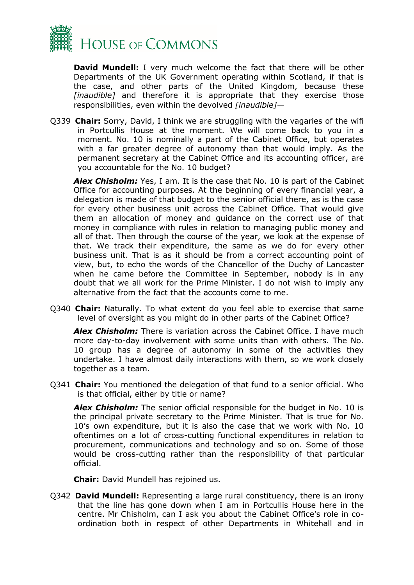

**David Mundell:** I very much welcome the fact that there will be other Departments of the UK Government operating within Scotland, if that is the case, and other parts of the United Kingdom, because these *[inaudible]* and therefore it is appropriate that they exercise those responsibilities, even within the devolved *[inaudible]—*

Q339 **Chair:** Sorry, David, I think we are struggling with the vagaries of the wifi in Portcullis House at the moment. We will come back to you in a moment. No. 10 is nominally a part of the Cabinet Office, but operates with a far greater degree of autonomy than that would imply. As the permanent secretary at the Cabinet Office and its accounting officer, are you accountable for the No. 10 budget?

*Alex Chisholm:* Yes, I am. It is the case that No. 10 is part of the Cabinet Office for accounting purposes. At the beginning of every financial year, a delegation is made of that budget to the senior official there, as is the case for every other business unit across the Cabinet Office. That would give them an allocation of money and guidance on the correct use of that money in compliance with rules in relation to managing public money and all of that. Then through the course of the year, we look at the expense of that. We track their expenditure, the same as we do for every other business unit. That is as it should be from a correct accounting point of view, but, to echo the words of the Chancellor of the Duchy of Lancaster when he came before the Committee in September, nobody is in any doubt that we all work for the Prime Minister. I do not wish to imply any alternative from the fact that the accounts come to me.

Q340 **Chair:** Naturally. To what extent do you feel able to exercise that same level of oversight as you might do in other parts of the Cabinet Office?

*Alex Chisholm:* There is variation across the Cabinet Office. I have much more day-to-day involvement with some units than with others. The No. 10 group has a degree of autonomy in some of the activities they undertake. I have almost daily interactions with them, so we work closely together as a team.

Q341 **Chair:** You mentioned the delegation of that fund to a senior official. Who is that official, either by title or name?

*Alex Chisholm:* The senior official responsible for the budget in No. 10 is the principal private secretary to the Prime Minister. That is true for No. 10's own expenditure, but it is also the case that we work with No. 10 oftentimes on a lot of cross-cutting functional expenditures in relation to procurement, communications and technology and so on. Some of those would be cross-cutting rather than the responsibility of that particular official.

**Chair:** David Mundell has rejoined us.

Q342 **David Mundell:** Representing a large rural constituency, there is an irony that the line has gone down when I am in Portcullis House here in the centre. Mr Chisholm, can I ask you about the Cabinet Office's role in coordination both in respect of other Departments in Whitehall and in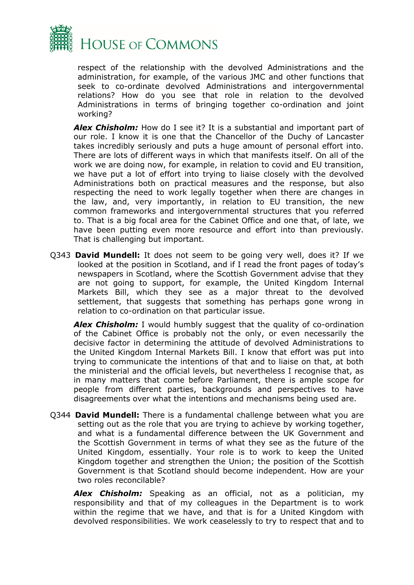

respect of the relationship with the devolved Administrations and the administration, for example, of the various JMC and other functions that seek to co-ordinate devolved Administrations and intergovernmental relations? How do you see that role in relation to the devolved Administrations in terms of bringing together co-ordination and joint working?

*Alex Chisholm:* How do I see it? It is a substantial and important part of our role. I know it is one that the Chancellor of the Duchy of Lancaster takes incredibly seriously and puts a huge amount of personal effort into. There are lots of different ways in which that manifests itself. On all of the work we are doing now, for example, in relation to covid and EU transition, we have put a lot of effort into trying to liaise closely with the devolved Administrations both on practical measures and the response, but also respecting the need to work legally together when there are changes in the law, and, very importantly, in relation to EU transition, the new common frameworks and intergovernmental structures that you referred to. That is a big focal area for the Cabinet Office and one that, of late, we have been putting even more resource and effort into than previously. That is challenging but important.

Q343 **David Mundell:** It does not seem to be going very well, does it? If we looked at the position in Scotland, and if I read the front pages of today's newspapers in Scotland, where the Scottish Government advise that they are not going to support, for example, the United Kingdom Internal Markets Bill, which they see as a major threat to the devolved settlement, that suggests that something has perhaps gone wrong in relation to co-ordination on that particular issue.

**Alex Chisholm:** I would humbly suggest that the quality of co-ordination of the Cabinet Office is probably not the only, or even necessarily the decisive factor in determining the attitude of devolved Administrations to the United Kingdom Internal Markets Bill. I know that effort was put into trying to communicate the intentions of that and to liaise on that, at both the ministerial and the official levels, but nevertheless I recognise that, as in many matters that come before Parliament, there is ample scope for people from different parties, backgrounds and perspectives to have disagreements over what the intentions and mechanisms being used are.

Q344 **David Mundell:** There is a fundamental challenge between what you are setting out as the role that you are trying to achieve by working together, and what is a fundamental difference between the UK Government and the Scottish Government in terms of what they see as the future of the United Kingdom, essentially. Your role is to work to keep the United Kingdom together and strengthen the Union; the position of the Scottish Government is that Scotland should become independent. How are your two roles reconcilable?

*Alex Chisholm:* Speaking as an official, not as a politician, my responsibility and that of my colleagues in the Department is to work within the regime that we have, and that is for a United Kingdom with devolved responsibilities. We work ceaselessly to try to respect that and to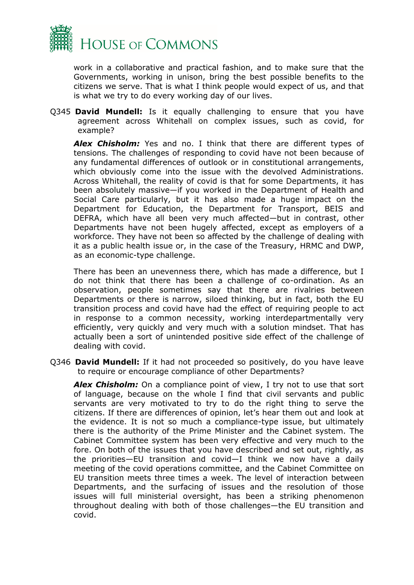

work in a collaborative and practical fashion, and to make sure that the Governments, working in unison, bring the best possible benefits to the citizens we serve. That is what I think people would expect of us, and that is what we try to do every working day of our lives.

Q345 **David Mundell:** Is it equally challenging to ensure that you have agreement across Whitehall on complex issues, such as covid, for example?

*Alex Chisholm:* Yes and no. I think that there are different types of tensions. The challenges of responding to covid have not been because of any fundamental differences of outlook or in constitutional arrangements, which obviously come into the issue with the devolved Administrations. Across Whitehall, the reality of covid is that for some Departments, it has been absolutely massive—if you worked in the Department of Health and Social Care particularly, but it has also made a huge impact on the Department for Education, the Department for Transport, BEIS and DEFRA, which have all been very much affected—but in contrast, other Departments have not been hugely affected, except as employers of a workforce. They have not been so affected by the challenge of dealing with it as a public health issue or, in the case of the Treasury, HRMC and DWP, as an economic-type challenge.

There has been an unevenness there, which has made a difference, but I do not think that there has been a challenge of co-ordination. As an observation, people sometimes say that there are rivalries between Departments or there is narrow, siloed thinking, but in fact, both the EU transition process and covid have had the effect of requiring people to act in response to a common necessity, working interdepartmentally very efficiently, very quickly and very much with a solution mindset. That has actually been a sort of unintended positive side effect of the challenge of dealing with covid.

Q346 **David Mundell:** If it had not proceeded so positively, do you have leave to require or encourage compliance of other Departments?

*Alex Chisholm:* On a compliance point of view, I try not to use that sort of language, because on the whole I find that civil servants and public servants are very motivated to try to do the right thing to serve the citizens. If there are differences of opinion, let's hear them out and look at the evidence. It is not so much a compliance-type issue, but ultimately there is the authority of the Prime Minister and the Cabinet system. The Cabinet Committee system has been very effective and very much to the fore. On both of the issues that you have described and set out, rightly, as the priorities—EU transition and covid—I think we now have a daily meeting of the covid operations committee, and the Cabinet Committee on EU transition meets three times a week. The level of interaction between Departments, and the surfacing of issues and the resolution of those issues will full ministerial oversight, has been a striking phenomenon throughout dealing with both of those challenges—the EU transition and covid.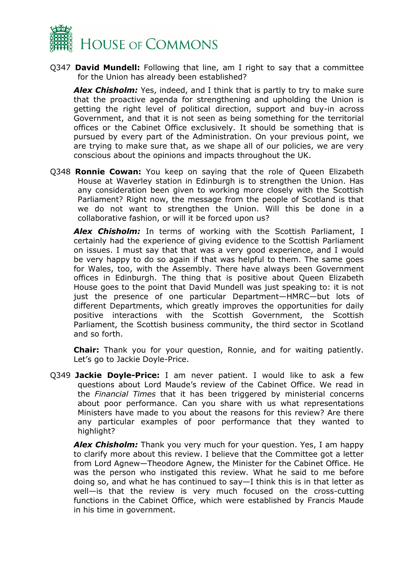

Q347 **David Mundell:** Following that line, am I right to say that a committee for the Union has already been established?

*Alex Chisholm:* Yes, indeed, and I think that is partly to try to make sure that the proactive agenda for strengthening and upholding the Union is getting the right level of political direction, support and buy-in across Government, and that it is not seen as being something for the territorial offices or the Cabinet Office exclusively. It should be something that is pursued by every part of the Administration. On your previous point, we are trying to make sure that, as we shape all of our policies, we are very conscious about the opinions and impacts throughout the UK.

Q348 **Ronnie Cowan:** You keep on saying that the role of Queen Elizabeth House at Waverley station in Edinburgh is to strengthen the Union. Has any consideration been given to working more closely with the Scottish Parliament? Right now, the message from the people of Scotland is that we do not want to strengthen the Union. Will this be done in a collaborative fashion, or will it be forced upon us?

*Alex Chisholm:* In terms of working with the Scottish Parliament, I certainly had the experience of giving evidence to the Scottish Parliament on issues. I must say that that was a very good experience, and I would be very happy to do so again if that was helpful to them. The same goes for Wales, too, with the Assembly. There have always been Government offices in Edinburgh. The thing that is positive about Queen Elizabeth House goes to the point that David Mundell was just speaking to: it is not just the presence of one particular Department—HMRC—but lots of different Departments, which greatly improves the opportunities for daily positive interactions with the Scottish Government, the Scottish Parliament, the Scottish business community, the third sector in Scotland and so forth.

**Chair:** Thank you for your question, Ronnie, and for waiting patiently. Let's go to Jackie Doyle-Price.

Q349 **Jackie Doyle-Price:** I am never patient. I would like to ask a few questions about Lord Maude's review of the Cabinet Office. We read in the *Financial Times* that it has been triggered by ministerial concerns about poor performance. Can you share with us what representations Ministers have made to you about the reasons for this review? Are there any particular examples of poor performance that they wanted to highlight?

*Alex Chisholm:* Thank you very much for your question. Yes, I am happy to clarify more about this review. I believe that the Committee got a letter from Lord Agnew—Theodore Agnew, the Minister for the Cabinet Office. He was the person who instigated this review. What he said to me before doing so, and what he has continued to say—I think this is in that letter as well—is that the review is very much focused on the cross-cutting functions in the Cabinet Office, which were established by Francis Maude in his time in government.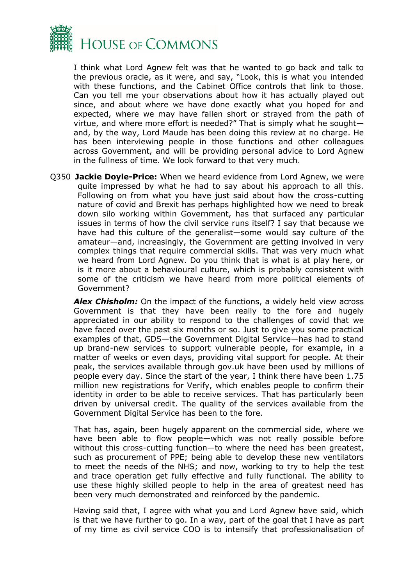

I think what Lord Agnew felt was that he wanted to go back and talk to the previous oracle, as it were, and say, "Look, this is what you intended with these functions, and the Cabinet Office controls that link to those. Can you tell me your observations about how it has actually played out since, and about where we have done exactly what you hoped for and expected, where we may have fallen short or strayed from the path of virtue, and where more effort is needed?" That is simply what he sought and, by the way, Lord Maude has been doing this review at no charge. He has been interviewing people in those functions and other colleagues across Government, and will be providing personal advice to Lord Agnew in the fullness of time. We look forward to that very much.

Q350 **Jackie Doyle-Price:** When we heard evidence from Lord Agnew, we were quite impressed by what he had to say about his approach to all this. Following on from what you have just said about how the cross-cutting nature of covid and Brexit has perhaps highlighted how we need to break down silo working within Government, has that surfaced any particular issues in terms of how the civil service runs itself? I say that because we have had this culture of the generalist—some would say culture of the amateur—and, increasingly, the Government are getting involved in very complex things that require commercial skills. That was very much what we heard from Lord Agnew. Do you think that is what is at play here, or is it more about a behavioural culture, which is probably consistent with some of the criticism we have heard from more political elements of Government?

*Alex Chisholm:* On the impact of the functions, a widely held view across Government is that they have been really to the fore and hugely appreciated in our ability to respond to the challenges of covid that we have faced over the past six months or so. Just to give you some practical examples of that, GDS—the Government Digital Service—has had to stand up brand-new services to support vulnerable people, for example, in a matter of weeks or even days, providing vital support for people. At their peak, the services available through gov.uk have been used by millions of people every day. Since the start of the year, I think there have been 1.75 million new registrations for Verify, which enables people to confirm their identity in order to be able to receive services. That has particularly been driven by universal credit. The quality of the services available from the Government Digital Service has been to the fore.

That has, again, been hugely apparent on the commercial side, where we have been able to flow people—which was not really possible before without this cross-cutting function—to where the need has been greatest, such as procurement of PPE; being able to develop these new ventilators to meet the needs of the NHS; and now, working to try to help the test and trace operation get fully effective and fully functional. The ability to use these highly skilled people to help in the area of greatest need has been very much demonstrated and reinforced by the pandemic.

Having said that, I agree with what you and Lord Agnew have said, which is that we have further to go. In a way, part of the goal that I have as part of my time as civil service COO is to intensify that professionalisation of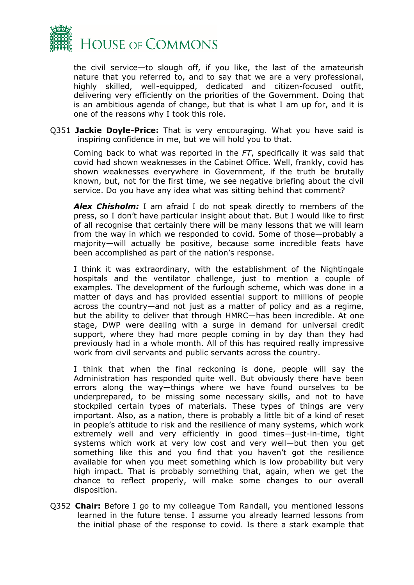

the civil service—to slough off, if you like, the last of the amateurish nature that you referred to, and to say that we are a very professional, highly skilled, well-equipped, dedicated and citizen-focused outfit, delivering very efficiently on the priorities of the Government. Doing that is an ambitious agenda of change, but that is what I am up for, and it is one of the reasons why I took this role.

Q351 **Jackie Doyle-Price:** That is very encouraging. What you have said is inspiring confidence in me, but we will hold you to that.

Coming back to what was reported in the *FT*, specifically it was said that covid had shown weaknesses in the Cabinet Office. Well, frankly, covid has shown weaknesses everywhere in Government, if the truth be brutally known, but, not for the first time, we see negative briefing about the civil service. Do you have any idea what was sitting behind that comment?

*Alex Chisholm:* I am afraid I do not speak directly to members of the press, so I don't have particular insight about that. But I would like to first of all recognise that certainly there will be many lessons that we will learn from the way in which we responded to covid. Some of those—probably a majority—will actually be positive, because some incredible feats have been accomplished as part of the nation's response.

I think it was extraordinary, with the establishment of the Nightingale hospitals and the ventilator challenge, just to mention a couple of examples. The development of the furlough scheme, which was done in a matter of days and has provided essential support to millions of people across the country—and not just as a matter of policy and as a regime, but the ability to deliver that through HMRC—has been incredible. At one stage, DWP were dealing with a surge in demand for universal credit support, where they had more people coming in by day than they had previously had in a whole month. All of this has required really impressive work from civil servants and public servants across the country.

I think that when the final reckoning is done, people will say the Administration has responded quite well. But obviously there have been errors along the way—things where we have found ourselves to be underprepared, to be missing some necessary skills, and not to have stockpiled certain types of materials. These types of things are very important. Also, as a nation, there is probably a little bit of a kind of reset in people's attitude to risk and the resilience of many systems, which work extremely well and very efficiently in good times—just-in-time, tight systems which work at very low cost and very well—but then you get something like this and you find that you haven't got the resilience available for when you meet something which is low probability but very high impact. That is probably something that, again, when we get the chance to reflect properly, will make some changes to our overall disposition.

Q352 **Chair:** Before I go to my colleague Tom Randall, you mentioned lessons learned in the future tense. I assume you already learned lessons from the initial phase of the response to covid. Is there a stark example that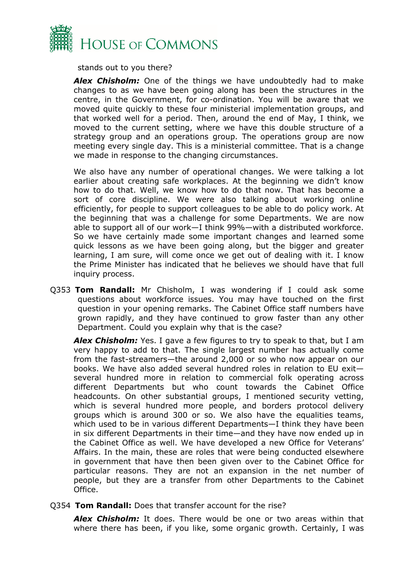

stands out to you there?

*Alex Chisholm:* One of the things we have undoubtedly had to make changes to as we have been going along has been the structures in the centre, in the Government, for co-ordination. You will be aware that we moved quite quickly to these four ministerial implementation groups, and that worked well for a period. Then, around the end of May, I think, we moved to the current setting, where we have this double structure of a strategy group and an operations group. The operations group are now meeting every single day. This is a ministerial committee. That is a change we made in response to the changing circumstances.

We also have any number of operational changes. We were talking a lot earlier about creating safe workplaces. At the beginning we didn't know how to do that. Well, we know how to do that now. That has become a sort of core discipline. We were also talking about working online efficiently, for people to support colleagues to be able to do policy work. At the beginning that was a challenge for some Departments. We are now able to support all of our work—I think 99%—with a distributed workforce. So we have certainly made some important changes and learned some quick lessons as we have been going along, but the bigger and greater learning, I am sure, will come once we get out of dealing with it. I know the Prime Minister has indicated that he believes we should have that full inquiry process.

Q353 **Tom Randall:** Mr Chisholm, I was wondering if I could ask some questions about workforce issues. You may have touched on the first question in your opening remarks. The Cabinet Office staff numbers have grown rapidly, and they have continued to grow faster than any other Department. Could you explain why that is the case?

*Alex Chisholm:* Yes. I gave a few figures to try to speak to that, but I am very happy to add to that. The single largest number has actually come from the fast-streamers—the around 2,000 or so who now appear on our books. We have also added several hundred roles in relation to EU exit several hundred more in relation to commercial folk operating across different Departments but who count towards the Cabinet Office headcounts. On other substantial groups, I mentioned security vetting, which is several hundred more people, and borders protocol delivery groups which is around 300 or so. We also have the equalities teams, which used to be in various different Departments—I think they have been in six different Departments in their time—and they have now ended up in the Cabinet Office as well. We have developed a new Office for Veterans' Affairs. In the main, these are roles that were being conducted elsewhere in government that have then been given over to the Cabinet Office for particular reasons. They are not an expansion in the net number of people, but they are a transfer from other Departments to the Cabinet Office.

Q354 **Tom Randall:** Does that transfer account for the rise?

*Alex Chisholm:* It does. There would be one or two areas within that where there has been, if you like, some organic growth. Certainly, I was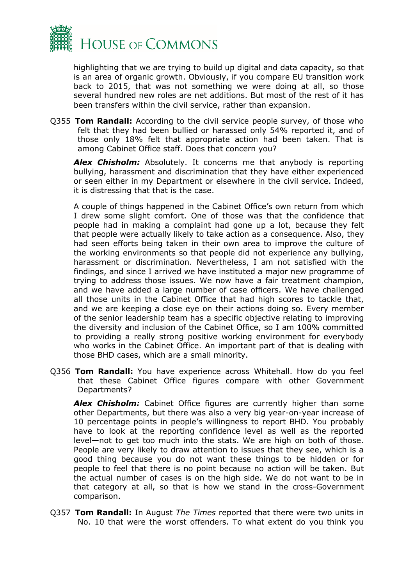

highlighting that we are trying to build up digital and data capacity, so that is an area of organic growth. Obviously, if you compare EU transition work back to 2015, that was not something we were doing at all, so those several hundred new roles are net additions. But most of the rest of it has been transfers within the civil service, rather than expansion.

Q355 **Tom Randall:** According to the civil service people survey, of those who felt that they had been bullied or harassed only 54% reported it, and of those only 18% felt that appropriate action had been taken. That is among Cabinet Office staff. Does that concern you?

**Alex Chisholm:** Absolutely. It concerns me that anybody is reporting bullying, harassment and discrimination that they have either experienced or seen either in my Department or elsewhere in the civil service. Indeed, it is distressing that that is the case.

A couple of things happened in the Cabinet Office's own return from which I drew some slight comfort. One of those was that the confidence that people had in making a complaint had gone up a lot, because they felt that people were actually likely to take action as a consequence. Also, they had seen efforts being taken in their own area to improve the culture of the working environments so that people did not experience any bullying, harassment or discrimination. Nevertheless, I am not satisfied with the findings, and since I arrived we have instituted a major new programme of trying to address those issues. We now have a fair treatment champion, and we have added a large number of case officers. We have challenged all those units in the Cabinet Office that had high scores to tackle that, and we are keeping a close eye on their actions doing so. Every member of the senior leadership team has a specific objective relating to improving the diversity and inclusion of the Cabinet Office, so I am 100% committed to providing a really strong positive working environment for everybody who works in the Cabinet Office. An important part of that is dealing with those BHD cases, which are a small minority.

Q356 **Tom Randall:** You have experience across Whitehall. How do you feel that these Cabinet Office figures compare with other Government Departments?

*Alex Chisholm:* Cabinet Office figures are currently higher than some other Departments, but there was also a very big year-on-year increase of 10 percentage points in people's willingness to report BHD. You probably have to look at the reporting confidence level as well as the reported level—not to get too much into the stats. We are high on both of those. People are very likely to draw attention to issues that they see, which is a good thing because you do not want these things to be hidden or for people to feel that there is no point because no action will be taken. But the actual number of cases is on the high side. We do not want to be in that category at all, so that is how we stand in the cross-Government comparison.

Q357 **Tom Randall:** In August *The Times* reported that there were two units in No. 10 that were the worst offenders. To what extent do you think you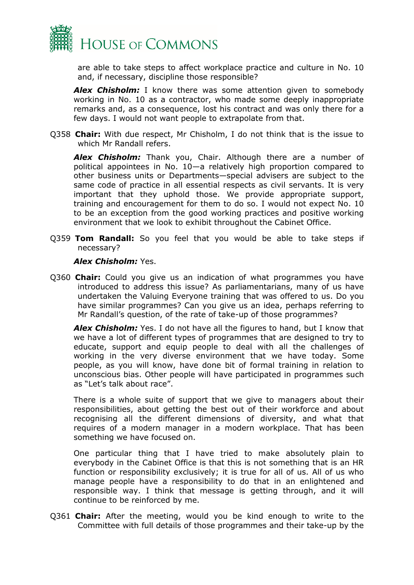

are able to take steps to affect workplace practice and culture in No. 10 and, if necessary, discipline those responsible?

**Alex Chisholm:** I know there was some attention given to somebody working in No. 10 as a contractor, who made some deeply inappropriate remarks and, as a consequence, lost his contract and was only there for a few days. I would not want people to extrapolate from that.

Q358 **Chair:** With due respect, Mr Chisholm, I do not think that is the issue to which Mr Randall refers.

*Alex Chisholm:* Thank you, Chair. Although there are a number of political appointees in No. 10—a relatively high proportion compared to other business units or Departments—special advisers are subject to the same code of practice in all essential respects as civil servants. It is very important that they uphold those. We provide appropriate support, training and encouragement for them to do so. I would not expect No. 10 to be an exception from the good working practices and positive working environment that we look to exhibit throughout the Cabinet Office.

Q359 **Tom Randall:** So you feel that you would be able to take steps if necessary?

### *Alex Chisholm:* Yes.

Q360 **Chair:** Could you give us an indication of what programmes you have introduced to address this issue? As parliamentarians, many of us have undertaken the Valuing Everyone training that was offered to us. Do you have similar programmes? Can you give us an idea, perhaps referring to Mr Randall's question, of the rate of take-up of those programmes?

*Alex Chisholm:* Yes. I do not have all the figures to hand, but I know that we have a lot of different types of programmes that are designed to try to educate, support and equip people to deal with all the challenges of working in the very diverse environment that we have today. Some people, as you will know, have done bit of formal training in relation to unconscious bias. Other people will have participated in programmes such as "Let's talk about race".

There is a whole suite of support that we give to managers about their responsibilities, about getting the best out of their workforce and about recognising all the different dimensions of diversity, and what that requires of a modern manager in a modern workplace. That has been something we have focused on.

One particular thing that I have tried to make absolutely plain to everybody in the Cabinet Office is that this is not something that is an HR function or responsibility exclusively; it is true for all of us. All of us who manage people have a responsibility to do that in an enlightened and responsible way. I think that message is getting through, and it will continue to be reinforced by me.

Q361 **Chair:** After the meeting, would you be kind enough to write to the Committee with full details of those programmes and their take-up by the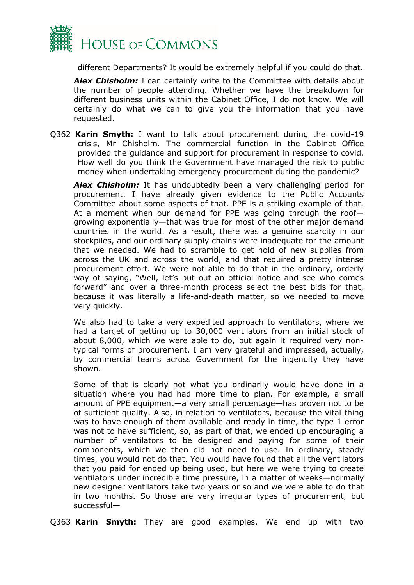

different Departments? It would be extremely helpful if you could do that.

**Alex Chisholm:** I can certainly write to the Committee with details about the number of people attending. Whether we have the breakdown for different business units within the Cabinet Office, I do not know. We will certainly do what we can to give you the information that you have requested.

Q362 **Karin Smyth:** I want to talk about procurement during the covid-19 crisis, Mr Chisholm. The commercial function in the Cabinet Office provided the guidance and support for procurement in response to covid. How well do you think the Government have managed the risk to public money when undertaking emergency procurement during the pandemic?

*Alex Chisholm:* It has undoubtedly been a very challenging period for procurement. I have already given evidence to the Public Accounts Committee about some aspects of that. PPE is a striking example of that. At a moment when our demand for PPE was going through the roof growing exponentially—that was true for most of the other major demand countries in the world. As a result, there was a genuine scarcity in our stockpiles, and our ordinary supply chains were inadequate for the amount that we needed. We had to scramble to get hold of new supplies from across the UK and across the world, and that required a pretty intense procurement effort. We were not able to do that in the ordinary, orderly way of saying, "Well, let's put out an official notice and see who comes forward" and over a three-month process select the best bids for that, because it was literally a life-and-death matter, so we needed to move very quickly.

We also had to take a very expedited approach to ventilators, where we had a target of getting up to 30,000 ventilators from an initial stock of about 8,000, which we were able to do, but again it required very nontypical forms of procurement. I am very grateful and impressed, actually, by commercial teams across Government for the ingenuity they have shown.

Some of that is clearly not what you ordinarily would have done in a situation where you had had more time to plan. For example, a small amount of PPE equipment—a very small percentage—has proven not to be of sufficient quality. Also, in relation to ventilators, because the vital thing was to have enough of them available and ready in time, the type 1 error was not to have sufficient, so, as part of that, we ended up encouraging a number of ventilators to be designed and paying for some of their components, which we then did not need to use. In ordinary, steady times, you would not do that. You would have found that all the ventilators that you paid for ended up being used, but here we were trying to create ventilators under incredible time pressure, in a matter of weeks—normally new designer ventilators take two years or so and we were able to do that in two months. So those are very irregular types of procurement, but successful—

Q363 **Karin Smyth:** They are good examples. We end up with two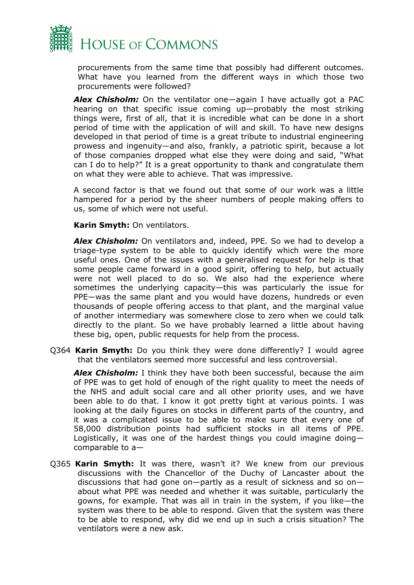

procurements from the same time that possibly had different outcomes. What have you learned from the different ways in which those two procurements were followed?

*Alex Chisholm:* On the ventilator one—again I have actually got a PAC hearing on that specific issue coming up—probably the most striking things were, first of all, that it is incredible what can be done in a short period of time with the application of will and skill. To have new designs developed in that period of time is a great tribute to industrial engineering prowess and ingenuity—and also, frankly, a patriotic spirit, because a lot of those companies dropped what else they were doing and said, "What can I do to help?" It is a great opportunity to thank and congratulate them on what they were able to achieve. That was impressive.

A second factor is that we found out that some of our work was a little hampered for a period by the sheer numbers of people making offers to us, some of which were not useful.

**Karin Smyth:** On ventilators.

*Alex Chisholm:* On ventilators and, indeed, PPE. So we had to develop a triage-type system to be able to quickly identify which were the more useful ones. One of the issues with a generalised request for help is that some people came forward in a good spirit, offering to help, but actually were not well placed to do so. We also had the experience where sometimes the underlying capacity—this was particularly the issue for PPE—was the same plant and you would have dozens, hundreds or even thousands of people offering access to that plant, and the marginal value of another intermediary was somewhere close to zero when we could talk directly to the plant. So we have probably learned a little about having these big, open, public requests for help from the process.

Q364 **Karin Smyth:** Do you think they were done differently? I would agree that the ventilators seemed more successful and less controversial.

*Alex Chisholm:* I think they have both been successful, because the aim of PPE was to get hold of enough of the right quality to meet the needs of the NHS and adult social care and all other priority uses, and we have been able to do that. I know it got pretty tight at various points. I was looking at the daily figures on stocks in different parts of the country, and it was a complicated issue to be able to make sure that every one of 58,000 distribution points had sufficient stocks in all items of PPE. Logistically, it was one of the hardest things you could imagine doing comparable to a—

Q365 **Karin Smyth:** It was there, wasn't it? We knew from our previous discussions with the Chancellor of the Duchy of Lancaster about the discussions that had gone on—partly as a result of sickness and so on about what PPE was needed and whether it was suitable, particularly the gowns, for example. That was all in train in the system, if you like—the system was there to be able to respond. Given that the system was there to be able to respond, why did we end up in such a crisis situation? The ventilators were a new ask.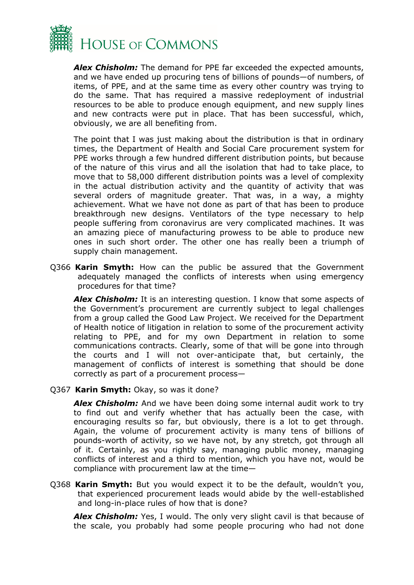

*Alex Chisholm:* The demand for PPE far exceeded the expected amounts, and we have ended up procuring tens of billions of pounds—of numbers, of items, of PPE, and at the same time as every other country was trying to do the same. That has required a massive redeployment of industrial resources to be able to produce enough equipment, and new supply lines and new contracts were put in place. That has been successful, which, obviously, we are all benefiting from.

The point that I was just making about the distribution is that in ordinary times, the Department of Health and Social Care procurement system for PPE works through a few hundred different distribution points, but because of the nature of this virus and all the isolation that had to take place, to move that to 58,000 different distribution points was a level of complexity in the actual distribution activity and the quantity of activity that was several orders of magnitude greater. That was, in a way, a mighty achievement. What we have not done as part of that has been to produce breakthrough new designs. Ventilators of the type necessary to help people suffering from coronavirus are very complicated machines. It was an amazing piece of manufacturing prowess to be able to produce new ones in such short order. The other one has really been a triumph of supply chain management.

Q366 **Karin Smyth:** How can the public be assured that the Government adequately managed the conflicts of interests when using emergency procedures for that time?

**Alex Chisholm:** It is an interesting question. I know that some aspects of the Government's procurement are currently subject to legal challenges from a group called the Good Law Project. We received for the Department of Health notice of litigation in relation to some of the procurement activity relating to PPE, and for my own Department in relation to some communications contracts. Clearly, some of that will be gone into through the courts and I will not over-anticipate that, but certainly, the management of conflicts of interest is something that should be done correctly as part of a procurement process—

Q367 **Karin Smyth:** Okay, so was it done?

*Alex Chisholm:* And we have been doing some internal audit work to try to find out and verify whether that has actually been the case, with encouraging results so far, but obviously, there is a lot to get through. Again, the volume of procurement activity is many tens of billions of pounds-worth of activity, so we have not, by any stretch, got through all of it. Certainly, as you rightly say, managing public money, managing conflicts of interest and a third to mention, which you have not, would be compliance with procurement law at the time—

Q368 **Karin Smyth:** But you would expect it to be the default, wouldn't you, that experienced procurement leads would abide by the well-established and long-in-place rules of how that is done?

*Alex Chisholm:* Yes, I would. The only very slight cavil is that because of the scale, you probably had some people procuring who had not done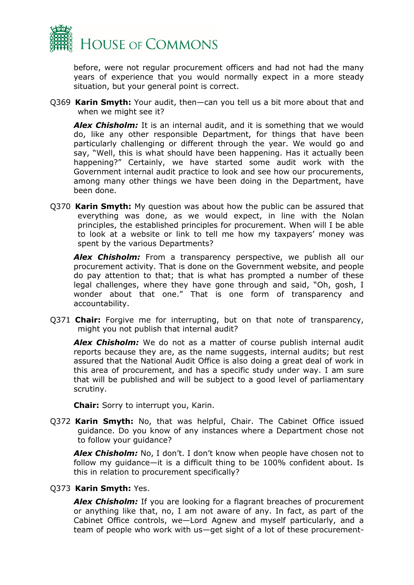

before, were not regular procurement officers and had not had the many years of experience that you would normally expect in a more steady situation, but your general point is correct.

Q369 **Karin Smyth:** Your audit, then—can you tell us a bit more about that and when we might see it?

**Alex Chisholm:** It is an internal audit, and it is something that we would do, like any other responsible Department, for things that have been particularly challenging or different through the year. We would go and say, "Well, this is what should have been happening. Has it actually been happening?" Certainly, we have started some audit work with the Government internal audit practice to look and see how our procurements, among many other things we have been doing in the Department, have been done.

Q370 **Karin Smyth:** My question was about how the public can be assured that everything was done, as we would expect, in line with the Nolan principles, the established principles for procurement. When will I be able to look at a website or link to tell me how my taxpayers' money was spent by the various Departments?

*Alex Chisholm:* From a transparency perspective, we publish all our procurement activity. That is done on the Government website, and people do pay attention to that; that is what has prompted a number of these legal challenges, where they have gone through and said, "Oh, gosh, I wonder about that one." That is one form of transparency and accountability.

Q371 **Chair:** Forgive me for interrupting, but on that note of transparency, might you not publish that internal audit?

*Alex Chisholm:* We do not as a matter of course publish internal audit reports because they are, as the name suggests, internal audits; but rest assured that the National Audit Office is also doing a great deal of work in this area of procurement, and has a specific study under way. I am sure that will be published and will be subject to a good level of parliamentary scrutiny.

**Chair:** Sorry to interrupt you, Karin.

Q372 **Karin Smyth:** No, that was helpful, Chair. The Cabinet Office issued guidance. Do you know of any instances where a Department chose not to follow your guidance?

*Alex Chisholm:* No, I don't. I don't know when people have chosen not to follow my guidance—it is a difficult thing to be 100% confident about. Is this in relation to procurement specifically?

### Q373 **Karin Smyth:** Yes.

*Alex Chisholm:* If you are looking for a flagrant breaches of procurement or anything like that, no, I am not aware of any. In fact, as part of the Cabinet Office controls, we—Lord Agnew and myself particularly, and a team of people who work with us—get sight of a lot of these procurement-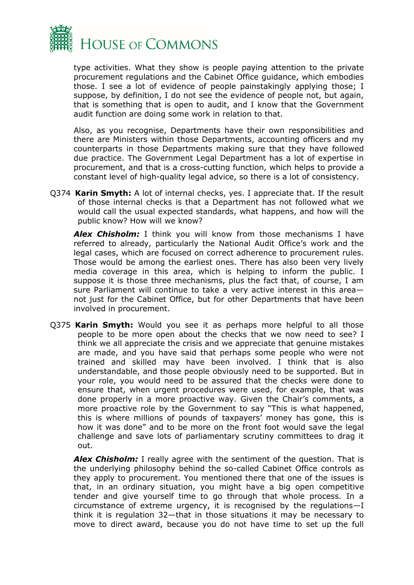

type activities. What they show is people paying attention to the private procurement regulations and the Cabinet Office guidance, which embodies those. I see a lot of evidence of people painstakingly applying those; I suppose, by definition, I do not see the evidence of people not, but again, that is something that is open to audit, and I know that the Government audit function are doing some work in relation to that.

Also, as you recognise, Departments have their own responsibilities and there are Ministers within those Departments, accounting officers and my counterparts in those Departments making sure that they have followed due practice. The Government Legal Department has a lot of expertise in procurement, and that is a cross-cutting function, which helps to provide a constant level of high-quality legal advice, so there is a lot of consistency.

Q374 **Karin Smyth:** A lot of internal checks, yes. I appreciate that. If the result of those internal checks is that a Department has not followed what we would call the usual expected standards, what happens, and how will the public know? How will we know?

**Alex Chisholm:** I think you will know from those mechanisms I have referred to already, particularly the National Audit Office's work and the legal cases, which are focused on correct adherence to procurement rules. Those would be among the earliest ones. There has also been very lively media coverage in this area, which is helping to inform the public. I suppose it is those three mechanisms, plus the fact that, of course, I am sure Parliament will continue to take a very active interest in this area not just for the Cabinet Office, but for other Departments that have been involved in procurement.

Q375 **Karin Smyth:** Would you see it as perhaps more helpful to all those people to be more open about the checks that we now need to see? I think we all appreciate the crisis and we appreciate that genuine mistakes are made, and you have said that perhaps some people who were not trained and skilled may have been involved. I think that is also understandable, and those people obviously need to be supported. But in your role, you would need to be assured that the checks were done to ensure that, when urgent procedures were used, for example, that was done properly in a more proactive way. Given the Chair's comments, a more proactive role by the Government to say "This is what happened, this is where millions of pounds of taxpayers' money has gone, this is how it was done" and to be more on the front foot would save the legal challenge and save lots of parliamentary scrutiny committees to drag it out.

**Alex Chisholm:** I really agree with the sentiment of the question. That is the underlying philosophy behind the so-called Cabinet Office controls as they apply to procurement. You mentioned there that one of the issues is that, in an ordinary situation, you might have a big open competitive tender and give yourself time to go through that whole process. In a circumstance of extreme urgency, it is recognised by the regulations—I think it is regulation 32—that in those situations it may be necessary to move to direct award, because you do not have time to set up the full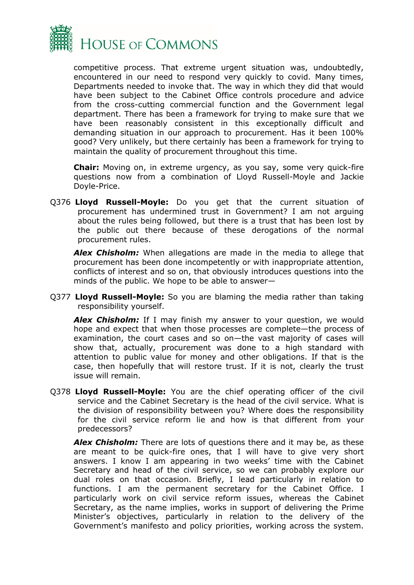

competitive process. That extreme urgent situation was, undoubtedly, encountered in our need to respond very quickly to covid. Many times, Departments needed to invoke that. The way in which they did that would have been subject to the Cabinet Office controls procedure and advice from the cross-cutting commercial function and the Government legal department. There has been a framework for trying to make sure that we have been reasonably consistent in this exceptionally difficult and demanding situation in our approach to procurement. Has it been 100% good? Very unlikely, but there certainly has been a framework for trying to maintain the quality of procurement throughout this time.

**Chair:** Moving on, in extreme urgency, as you say, some very quick-fire questions now from a combination of Lloyd Russell-Moyle and Jackie Doyle-Price.

Q376 **Lloyd Russell-Moyle:** Do you get that the current situation of procurement has undermined trust in Government? I am not arguing about the rules being followed, but there is a trust that has been lost by the public out there because of these derogations of the normal procurement rules.

*Alex Chisholm:* When allegations are made in the media to allege that procurement has been done incompetently or with inappropriate attention, conflicts of interest and so on, that obviously introduces questions into the minds of the public. We hope to be able to answer—

Q377 **Lloyd Russell-Moyle:** So you are blaming the media rather than taking responsibility yourself.

**Alex Chisholm:** If I may finish my answer to your question, we would hope and expect that when those processes are complete—the process of examination, the court cases and so on—the vast majority of cases will show that, actually, procurement was done to a high standard with attention to public value for money and other obligations. If that is the case, then hopefully that will restore trust. If it is not, clearly the trust issue will remain.

Q378 **Lloyd Russell-Moyle:** You are the chief operating officer of the civil service and the Cabinet Secretary is the head of the civil service. What is the division of responsibility between you? Where does the responsibility for the civil service reform lie and how is that different from your predecessors?

*Alex Chisholm:* There are lots of questions there and it may be, as these are meant to be quick-fire ones, that I will have to give very short answers. I know I am appearing in two weeks' time with the Cabinet Secretary and head of the civil service, so we can probably explore our dual roles on that occasion. Briefly, I lead particularly in relation to functions. I am the permanent secretary for the Cabinet Office. I particularly work on civil service reform issues, whereas the Cabinet Secretary, as the name implies, works in support of delivering the Prime Minister's objectives, particularly in relation to the delivery of the Government's manifesto and policy priorities, working across the system.